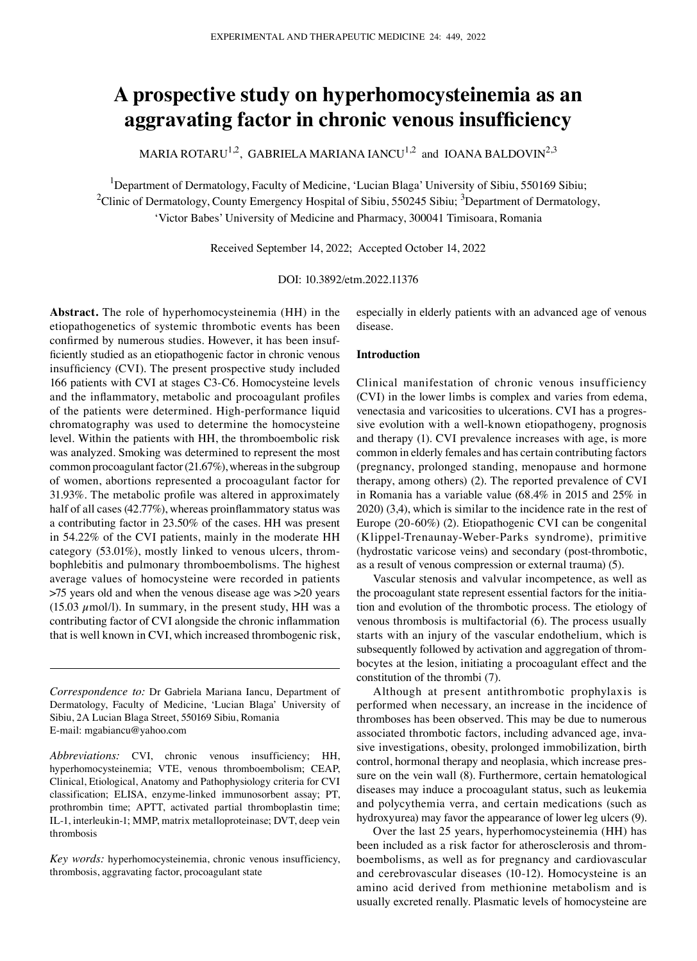# **A prospective study on hyperhomocysteinemia as an aggravating factor in chronic venous insufficiency**

MARIA ROTARU<sup>1,2</sup>, GABRIELA MARIANA IANCU<sup>1,2</sup> and IOANA BALDOVIN<sup>2,3</sup>

<sup>1</sup>Department of Dermatology, Faculty of Medicine, 'Lucian Blaga' University of Sibiu, 550169 Sibiu; <sup>2</sup>Clinic of Dermatology, County Emergency Hospital of Sibiu, 550245 Sibiu; <sup>3</sup>Department of Dermatology, 'Victor Babes' University of Medicine and Pharmacy, 300041 Timisoara, Romania

Received September 14, 2022; Accepted October 14, 2022

DOI: 10.3892/etm.2022.11376

**Abstract.** The role of hyperhomocysteinemia (HH) in the etiopathogenetics of systemic thrombotic events has been confirmed by numerous studies. However, it has been insufficiently studied as an etiopathogenic factor in chronic venous insufficiency (CVI). The present prospective study included 166 patients with CVI at stages C3‑C6. Homocysteine levels and the inflammatory, metabolic and procoagulant profiles of the patients were determined. High-performance liquid chromatography was used to determine the homocysteine level. Within the patients with HH, the thromboembolic risk was analyzed. Smoking was determined to represent the most common procoagulant factor (21.67%), whereas in the subgroup of women, abortions represented a procoagulant factor for 31.93%. The metabolic profile was altered in approximately half of all cases (42.77%), whereas proinflammatory status was a contributing factor in 23.50% of the cases. HH was present in 54.22% of the CVI patients, mainly in the moderate HH category (53.01%), mostly linked to venous ulcers, thrombophlebitis and pulmonary thromboembolisms. The highest average values of homocysteine were recorded in patients >75 years old and when the venous disease age was >20 years (15.03  $\mu$ mol/l). In summary, in the present study, HH was a contributing factor of CVI alongside the chronic inflammation that is well known in CVI, which increased thrombogenic risk, especially in elderly patients with an advanced age of venous disease.

## **Introduction**

Clinical manifestation of chronic venous insufficiency (CVI) in the lower limbs is complex and varies from edema, venectasia and varicosities to ulcerations. CVI has a progressive evolution with a well-known etiopathogeny, prognosis and therapy (1). CVI prevalence increases with age, is more common in elderly females and has certain contributing factors (pregnancy, prolonged standing, menopause and hormone therapy, among others) (2). The reported prevalence of CVI in Romania has a variable value (68.4% in 2015 and 25% in 2020) (3,4), which is similar to the incidence rate in the rest of Europe (20‑60%) (2). Etiopathogenic CVI can be congenital (Klippel‑Trenaunay‑Weber‑Parks syndrome), primitive (hydrostatic varicose veins) and secondary (post-thrombotic, as a result of venous compression or external trauma) (5).

Vascular stenosis and valvular incompetence, as well as the procoagulant state represent essential factors for the initiation and evolution of the thrombotic process. The etiology of venous thrombosis is multifactorial (6). The process usually starts with an injury of the vascular endothelium, which is subsequently followed by activation and aggregation of thrombocytes at the lesion, initiating a procoagulant effect and the constitution of the thrombi (7).

Although at present antithrombotic prophylaxis is performed when necessary, an increase in the incidence of thromboses has been observed. This may be due to numerous associated thrombotic factors, including advanced age, invasive investigations, obesity, prolonged immobilization, birth control, hormonal therapy and neoplasia, which increase pressure on the vein wall (8). Furthermore, certain hematological diseases may induce a procoagulant status, such as leukemia and polycythemia verra, and certain medications (such as hydroxyurea) may favor the appearance of lower leg ulcers (9).

Over the last 25 years, hyperhomocysteinemia (HH) has been included as a risk factor for atherosclerosis and thromboembolisms, as well as for pregnancy and cardiovascular and cerebrovascular diseases (10‑12). Homocysteine is an amino acid derived from methionine metabolism and is usually excreted renally. Plasmatic levels of homocysteine are

*Correspondence to:* Dr Gabriela Mariana Iancu, Department of Dermatology, Faculty of Medicine, 'Lucian Blaga' University of Sibiu, 2A Lucian Blaga Street, 550169 Sibiu, Romania E‑mail: mgabiancu@yahoo.com

*Abbreviations:* CVI, chronic venous insufficiency; HH, hyperhomocysteinemia; VTE, venous thromboembolism; CEAP, Clinical, Etiological, Anatomy and Pathophysiology criteria for CVI classification; ELISA, enzyme-linked immunosorbent assay; PT, prothrombin time; APTT, activated partial thromboplastin time; IL‑1, interleukin‑1; MMP, matrix metalloproteinase; DVT, deep vein thrombosis

*Key words:* hyperhomocysteinemia, chronic venous insufficiency, thrombosis, aggravating factor, procoagulant state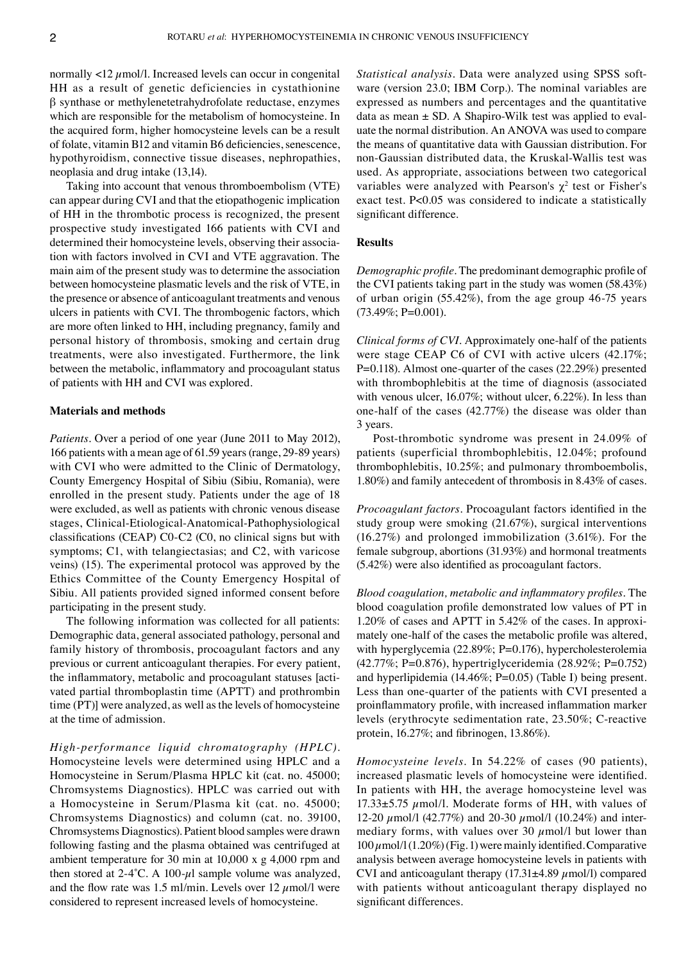normally  $\langle 12 \mu \text{mol}/l$ . Increased levels can occur in congenital HH as a result of genetic deficiencies in cystathionine β synthase or methylenetetrahydrofolate reductase, enzymes which are responsible for the metabolism of homocysteine. In the acquired form, higher homocysteine levels can be a result of folate, vitamin B12 and vitamin B6 deficiencies, senescence, hypothyroidism, connective tissue diseases, nephropathies, neoplasia and drug intake (13,14).

Taking into account that venous thromboembolism (VTE) can appear during CVI and that the etiopathogenic implication of HH in the thrombotic process is recognized, the present prospective study investigated 166 patients with CVI and determined their homocysteine levels, observing their association with factors involved in CVI and VTE aggravation. The main aim of the present study was to determine the association between homocysteine plasmatic levels and the risk of VTE, in the presence or absence of anticoagulant treatments and venous ulcers in patients with CVI. The thrombogenic factors, which are more often linked to HH, including pregnancy, family and personal history of thrombosis, smoking and certain drug treatments, were also investigated. Furthermore, the link between the metabolic, inflammatory and procoagulant status of patients with HH and CVI was explored.

#### **Materials and methods**

*Patients.* Over a period of one year (June 2011 to May 2012), 166 patients with a mean age of 61.59 years (range, 29‑89 years) with CVI who were admitted to the Clinic of Dermatology, County Emergency Hospital of Sibiu (Sibiu, Romania), were enrolled in the present study. Patients under the age of 18 were excluded, as well as patients with chronic venous disease stages, Clinical-Etiological-Anatomical-Pathophysiological classifications (CEAP) C0‑C2 (C0, no clinical signs but with symptoms; C1, with telangiectasias; and C2, with varicose veins) (15). The experimental protocol was approved by the Ethics Committee of the County Emergency Hospital of Sibiu. All patients provided signed informed consent before participating in the present study.

The following information was collected for all patients: Demographic data, general associated pathology, personal and family history of thrombosis, procoagulant factors and any previous or current anticoagulant therapies. For every patient, the inflammatory, metabolic and procoagulant statuses [activated partial thromboplastin time (APTT) and prothrombin time (PT)] were analyzed, as well as the levels of homocysteine at the time of admission.

*High‑performance liquid chromatography (HPLC).*  Homocysteine levels were determined using HPLC and a Homocysteine in Serum/Plasma HPLC kit (cat. no. 45000; Chromsystems Diagnostics). HPLC was carried out with a Homocysteine in Serum/Plasma kit (cat. no. 45000; Chromsystems Diagnostics) and column (cat. no. 39100, Chromsystems Diagnostics). Patient blood samples were drawn following fasting and the plasma obtained was centrifuged at ambient temperature for 30 min at 10,000 x g 4,000 rpm and then stored at 2-4 $\textdegree$ C. A 100- $\mu$ l sample volume was analyzed, and the flow rate was 1.5 ml/min. Levels over 12  $\mu$ mol/l were considered to represent increased levels of homocysteine.

*Statistical analysis*. Data were analyzed using SPSS software (version 23.0; IBM Corp.). The nominal variables are expressed as numbers and percentages and the quantitative data as mean  $\pm$  SD. A Shapiro-Wilk test was applied to evaluate the normal distribution. An ANOVA was used to compare the means of quantitative data with Gaussian distribution. For non‑Gaussian distributed data, the Kruskal‑Wallis test was used. As appropriate, associations between two categorical variables were analyzed with Pearson's  $\chi^2$  test or Fisher's exact test. P<0.05 was considered to indicate a statistically significant difference.

#### **Results**

*Demographic profile.* The predominant demographic profile of the CVI patients taking part in the study was women (58.43%) of urban origin (55.42%), from the age group 46‑75 years  $(73.49\%; P=0.001)$ .

*Clinical forms of CVI.* Approximately one-half of the patients were stage CEAP C6 of CVI with active ulcers (42.17%; P=0.118). Almost one‑quarter of the cases (22.29%) presented with thrombophlebitis at the time of diagnosis (associated with venous ulcer, 16.07%; without ulcer, 6.22%). In less than one-half of the cases (42.77%) the disease was older than 3 years.

Post-thrombotic syndrome was present in 24.09% of patients (superficial thrombophlebitis, 12.04%; profound thrombophlebitis, 10.25%; and pulmonary thromboembolis, 1.80%) and family antecedent of thrombosis in 8.43% of cases.

*Procoagulant factors.* Procoagulant factors identified in the study group were smoking (21.67%), surgical interventions (16.27%) and prolonged immobilization (3.61%). For the female subgroup, abortions (31.93%) and hormonal treatments (5.42%) were also identified as procoagulant factors.

*Blood coagulation, metabolic and inflammatory profiles.* The blood coagulation profile demonstrated low values of PT in 1.20% of cases and APTT in  $5.42\%$  of the cases. In approximately one‑half of the cases the metabolic profile was altered, with hyperglycemia (22.89%; P=0.176), hypercholesterolemia (42.77%; P=0.876), hypertriglyceridemia (28.92%; P=0.752) and hyperlipidemia (14.46%; P=0.05) (Table I) being present. Less than one‑quarter of the patients with CVI presented a proinflammatory profile, with increased inflammation marker levels (erythrocyte sedimentation rate, 23.50%; C‑reactive protein, 16.27%; and fibrinogen, 13.86%).

*Homocysteine levels.* In 54.22% of cases (90 patients), increased plasmatic levels of homocysteine were identified. In patients with HH, the average homocysteine level was  $17.33\pm5.75$   $\mu$ mol/l. Moderate forms of HH, with values of 12-20  $\mu$ mol/l (42.77%) and 20-30  $\mu$ mol/l (10.24%) and intermediary forms, with values over 30  $\mu$ mol/l but lower than  $100 \mu$ mol/l $(1.20\%)$  (Fig. 1) were mainly identified. Comparative analysis between average homocysteine levels in patients with CVI and anticoagulant therapy  $(17.31\pm4.89 \ \mu \text{mol/l})$  compared with patients without anticoagulant therapy displayed no significant differences.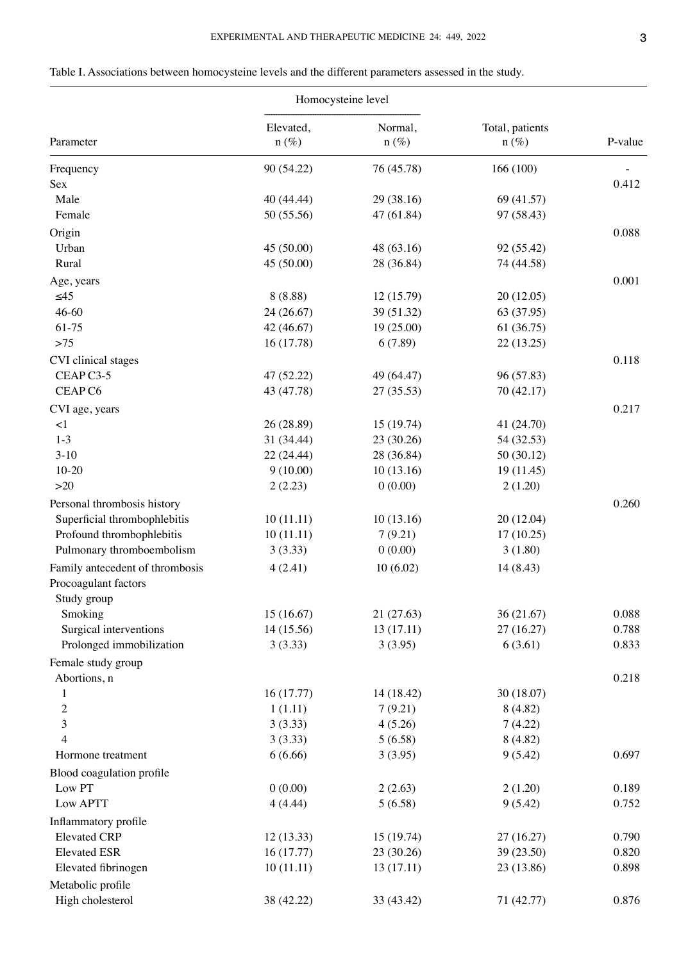Table I. Associations between homocysteine levels and the different parameters assessed in the study.

| Normal,<br>Total, patients<br>Elevated,<br>P-value<br>Parameter<br>$n(\%)$<br>$n(\%)$<br>$n(\%)$<br>90 (54.22)<br>76 (45.78)<br>166 (100)<br>Frequency<br>0.412<br>Sex<br>Male<br>40 (44.44)<br>29 (38.16)<br>69 (41.57)<br>97 (58.43)<br>Female<br>50 (55.56)<br>47 (61.84)<br>Origin<br>0.088<br>Urban<br>45 (50.00)<br>48 (63.16)<br>92 (55.42)<br>45 (50.00)<br>28 (36.84)<br>74 (44.58)<br>Rural<br>0.001<br>Age, years<br>$\leq45$<br>8(8.88)<br>12 (15.79)<br>20 (12.05)<br>$46 - 60$<br>24 (26.67)<br>39 (51.32)<br>63 (37.95)<br>61-75<br>42 (46.67)<br>19 (25.00)<br>61 (36.75)<br>$>75$<br>16 (17.78)<br>6(7.89)<br>22 (13.25)<br>0.118<br>CVI clinical stages<br>CEAP C3-5<br>47 (52.22)<br>49 (64.47)<br>96 (57.83)<br>CEAP C6<br>43 (47.78)<br>27 (35.53)<br>70 (42.17)<br>0.217<br>CVI age, years<br>$\leq$ 1<br>26 (28.89)<br>15 (19.74)<br>41 (24.70)<br>$1-3$<br>31 (34.44)<br>23 (30.26)<br>54 (32.53)<br>$3-10$<br>22 (24.44)<br>28 (36.84)<br>50 (30.12)<br>$10 - 20$<br>9(10.00)<br>10(13.16)<br>19 (11.45)<br>$>20$<br>2(2.23)<br>0(0.00)<br>2(1.20)<br>Personal thrombosis history<br>0.260<br>Superficial thrombophlebitis<br>10(11.11)<br>10(13.16)<br>20 (12.04)<br>Profound thrombophlebitis<br>10(11.11)<br>7(9.21)<br>17(10.25)<br>Pulmonary thromboembolism<br>3(3.33)<br>0(0.00)<br>3(1.80)<br>Family antecedent of thrombosis<br>4(2.41)<br>10(6.02)<br>14 (8.43)<br>Procoagulant factors<br>Study group<br>15(16.67)<br>21 (27.63)<br>36(21.67)<br>0.088<br>Smoking<br>Surgical interventions<br>14 (15.56)<br>13(17.11)<br>27 (16.27)<br>0.788<br>6(3.61)<br>Prolonged immobilization<br>3(3.33)<br>3(3.95)<br>0.833<br>Female study group<br>Abortions, n<br>0.218<br>16(17.77)<br>14 (18.42)<br>30 (18.07)<br>$\mathbf{1}$<br>$\overline{c}$<br>1(1.11)<br>7(9.21)<br>8(4.82)<br>3<br>3(3.33)<br>4(5.26)<br>7(4.22)<br>$\overline{4}$<br>3(3.33)<br>5(6.58)<br>8(4.82)<br>6(6.66)<br>3(3.95)<br>9(5.42)<br>0.697<br>Hormone treatment<br>Blood coagulation profile<br>Low PT<br>0(0.00)<br>2(2.63)<br>2(1.20)<br>0.189<br>Low APTT<br>4(4.44)<br>5(6.58)<br>9(5.42)<br>0.752<br>Inflammatory profile<br><b>Elevated CRP</b><br>12(13.33)<br>15(19.74)<br>27 (16.27)<br>0.790<br>16(17.77)<br>39 (23.50)<br><b>Elevated ESR</b><br>23 (30.26)<br>0.820<br>Elevated fibrinogen<br>10(11.11)<br>13 (17.11)<br>23 (13.86)<br>0.898<br>Metabolic profile<br>High cholesterol<br>71 (42.77)<br>0.876<br>38 (42.22)<br>33 (43.42) |  | Homocysteine level |  |
|-----------------------------------------------------------------------------------------------------------------------------------------------------------------------------------------------------------------------------------------------------------------------------------------------------------------------------------------------------------------------------------------------------------------------------------------------------------------------------------------------------------------------------------------------------------------------------------------------------------------------------------------------------------------------------------------------------------------------------------------------------------------------------------------------------------------------------------------------------------------------------------------------------------------------------------------------------------------------------------------------------------------------------------------------------------------------------------------------------------------------------------------------------------------------------------------------------------------------------------------------------------------------------------------------------------------------------------------------------------------------------------------------------------------------------------------------------------------------------------------------------------------------------------------------------------------------------------------------------------------------------------------------------------------------------------------------------------------------------------------------------------------------------------------------------------------------------------------------------------------------------------------------------------------------------------------------------------------------------------------------------------------------------------------------------------------------------------------------------------------------------------------------------------------------------------------------------------------------------------------------------------------------------------------------------------------------------------------------------------------------------------------------------------------------------------------------------------------|--|--------------------|--|
|                                                                                                                                                                                                                                                                                                                                                                                                                                                                                                                                                                                                                                                                                                                                                                                                                                                                                                                                                                                                                                                                                                                                                                                                                                                                                                                                                                                                                                                                                                                                                                                                                                                                                                                                                                                                                                                                                                                                                                                                                                                                                                                                                                                                                                                                                                                                                                                                                                                                 |  |                    |  |
|                                                                                                                                                                                                                                                                                                                                                                                                                                                                                                                                                                                                                                                                                                                                                                                                                                                                                                                                                                                                                                                                                                                                                                                                                                                                                                                                                                                                                                                                                                                                                                                                                                                                                                                                                                                                                                                                                                                                                                                                                                                                                                                                                                                                                                                                                                                                                                                                                                                                 |  |                    |  |
|                                                                                                                                                                                                                                                                                                                                                                                                                                                                                                                                                                                                                                                                                                                                                                                                                                                                                                                                                                                                                                                                                                                                                                                                                                                                                                                                                                                                                                                                                                                                                                                                                                                                                                                                                                                                                                                                                                                                                                                                                                                                                                                                                                                                                                                                                                                                                                                                                                                                 |  |                    |  |
|                                                                                                                                                                                                                                                                                                                                                                                                                                                                                                                                                                                                                                                                                                                                                                                                                                                                                                                                                                                                                                                                                                                                                                                                                                                                                                                                                                                                                                                                                                                                                                                                                                                                                                                                                                                                                                                                                                                                                                                                                                                                                                                                                                                                                                                                                                                                                                                                                                                                 |  |                    |  |
|                                                                                                                                                                                                                                                                                                                                                                                                                                                                                                                                                                                                                                                                                                                                                                                                                                                                                                                                                                                                                                                                                                                                                                                                                                                                                                                                                                                                                                                                                                                                                                                                                                                                                                                                                                                                                                                                                                                                                                                                                                                                                                                                                                                                                                                                                                                                                                                                                                                                 |  |                    |  |
|                                                                                                                                                                                                                                                                                                                                                                                                                                                                                                                                                                                                                                                                                                                                                                                                                                                                                                                                                                                                                                                                                                                                                                                                                                                                                                                                                                                                                                                                                                                                                                                                                                                                                                                                                                                                                                                                                                                                                                                                                                                                                                                                                                                                                                                                                                                                                                                                                                                                 |  |                    |  |
|                                                                                                                                                                                                                                                                                                                                                                                                                                                                                                                                                                                                                                                                                                                                                                                                                                                                                                                                                                                                                                                                                                                                                                                                                                                                                                                                                                                                                                                                                                                                                                                                                                                                                                                                                                                                                                                                                                                                                                                                                                                                                                                                                                                                                                                                                                                                                                                                                                                                 |  |                    |  |
|                                                                                                                                                                                                                                                                                                                                                                                                                                                                                                                                                                                                                                                                                                                                                                                                                                                                                                                                                                                                                                                                                                                                                                                                                                                                                                                                                                                                                                                                                                                                                                                                                                                                                                                                                                                                                                                                                                                                                                                                                                                                                                                                                                                                                                                                                                                                                                                                                                                                 |  |                    |  |
|                                                                                                                                                                                                                                                                                                                                                                                                                                                                                                                                                                                                                                                                                                                                                                                                                                                                                                                                                                                                                                                                                                                                                                                                                                                                                                                                                                                                                                                                                                                                                                                                                                                                                                                                                                                                                                                                                                                                                                                                                                                                                                                                                                                                                                                                                                                                                                                                                                                                 |  |                    |  |
|                                                                                                                                                                                                                                                                                                                                                                                                                                                                                                                                                                                                                                                                                                                                                                                                                                                                                                                                                                                                                                                                                                                                                                                                                                                                                                                                                                                                                                                                                                                                                                                                                                                                                                                                                                                                                                                                                                                                                                                                                                                                                                                                                                                                                                                                                                                                                                                                                                                                 |  |                    |  |
|                                                                                                                                                                                                                                                                                                                                                                                                                                                                                                                                                                                                                                                                                                                                                                                                                                                                                                                                                                                                                                                                                                                                                                                                                                                                                                                                                                                                                                                                                                                                                                                                                                                                                                                                                                                                                                                                                                                                                                                                                                                                                                                                                                                                                                                                                                                                                                                                                                                                 |  |                    |  |
|                                                                                                                                                                                                                                                                                                                                                                                                                                                                                                                                                                                                                                                                                                                                                                                                                                                                                                                                                                                                                                                                                                                                                                                                                                                                                                                                                                                                                                                                                                                                                                                                                                                                                                                                                                                                                                                                                                                                                                                                                                                                                                                                                                                                                                                                                                                                                                                                                                                                 |  |                    |  |
|                                                                                                                                                                                                                                                                                                                                                                                                                                                                                                                                                                                                                                                                                                                                                                                                                                                                                                                                                                                                                                                                                                                                                                                                                                                                                                                                                                                                                                                                                                                                                                                                                                                                                                                                                                                                                                                                                                                                                                                                                                                                                                                                                                                                                                                                                                                                                                                                                                                                 |  |                    |  |
|                                                                                                                                                                                                                                                                                                                                                                                                                                                                                                                                                                                                                                                                                                                                                                                                                                                                                                                                                                                                                                                                                                                                                                                                                                                                                                                                                                                                                                                                                                                                                                                                                                                                                                                                                                                                                                                                                                                                                                                                                                                                                                                                                                                                                                                                                                                                                                                                                                                                 |  |                    |  |
|                                                                                                                                                                                                                                                                                                                                                                                                                                                                                                                                                                                                                                                                                                                                                                                                                                                                                                                                                                                                                                                                                                                                                                                                                                                                                                                                                                                                                                                                                                                                                                                                                                                                                                                                                                                                                                                                                                                                                                                                                                                                                                                                                                                                                                                                                                                                                                                                                                                                 |  |                    |  |
|                                                                                                                                                                                                                                                                                                                                                                                                                                                                                                                                                                                                                                                                                                                                                                                                                                                                                                                                                                                                                                                                                                                                                                                                                                                                                                                                                                                                                                                                                                                                                                                                                                                                                                                                                                                                                                                                                                                                                                                                                                                                                                                                                                                                                                                                                                                                                                                                                                                                 |  |                    |  |
|                                                                                                                                                                                                                                                                                                                                                                                                                                                                                                                                                                                                                                                                                                                                                                                                                                                                                                                                                                                                                                                                                                                                                                                                                                                                                                                                                                                                                                                                                                                                                                                                                                                                                                                                                                                                                                                                                                                                                                                                                                                                                                                                                                                                                                                                                                                                                                                                                                                                 |  |                    |  |
|                                                                                                                                                                                                                                                                                                                                                                                                                                                                                                                                                                                                                                                                                                                                                                                                                                                                                                                                                                                                                                                                                                                                                                                                                                                                                                                                                                                                                                                                                                                                                                                                                                                                                                                                                                                                                                                                                                                                                                                                                                                                                                                                                                                                                                                                                                                                                                                                                                                                 |  |                    |  |
|                                                                                                                                                                                                                                                                                                                                                                                                                                                                                                                                                                                                                                                                                                                                                                                                                                                                                                                                                                                                                                                                                                                                                                                                                                                                                                                                                                                                                                                                                                                                                                                                                                                                                                                                                                                                                                                                                                                                                                                                                                                                                                                                                                                                                                                                                                                                                                                                                                                                 |  |                    |  |
|                                                                                                                                                                                                                                                                                                                                                                                                                                                                                                                                                                                                                                                                                                                                                                                                                                                                                                                                                                                                                                                                                                                                                                                                                                                                                                                                                                                                                                                                                                                                                                                                                                                                                                                                                                                                                                                                                                                                                                                                                                                                                                                                                                                                                                                                                                                                                                                                                                                                 |  |                    |  |
|                                                                                                                                                                                                                                                                                                                                                                                                                                                                                                                                                                                                                                                                                                                                                                                                                                                                                                                                                                                                                                                                                                                                                                                                                                                                                                                                                                                                                                                                                                                                                                                                                                                                                                                                                                                                                                                                                                                                                                                                                                                                                                                                                                                                                                                                                                                                                                                                                                                                 |  |                    |  |
|                                                                                                                                                                                                                                                                                                                                                                                                                                                                                                                                                                                                                                                                                                                                                                                                                                                                                                                                                                                                                                                                                                                                                                                                                                                                                                                                                                                                                                                                                                                                                                                                                                                                                                                                                                                                                                                                                                                                                                                                                                                                                                                                                                                                                                                                                                                                                                                                                                                                 |  |                    |  |
|                                                                                                                                                                                                                                                                                                                                                                                                                                                                                                                                                                                                                                                                                                                                                                                                                                                                                                                                                                                                                                                                                                                                                                                                                                                                                                                                                                                                                                                                                                                                                                                                                                                                                                                                                                                                                                                                                                                                                                                                                                                                                                                                                                                                                                                                                                                                                                                                                                                                 |  |                    |  |
|                                                                                                                                                                                                                                                                                                                                                                                                                                                                                                                                                                                                                                                                                                                                                                                                                                                                                                                                                                                                                                                                                                                                                                                                                                                                                                                                                                                                                                                                                                                                                                                                                                                                                                                                                                                                                                                                                                                                                                                                                                                                                                                                                                                                                                                                                                                                                                                                                                                                 |  |                    |  |
|                                                                                                                                                                                                                                                                                                                                                                                                                                                                                                                                                                                                                                                                                                                                                                                                                                                                                                                                                                                                                                                                                                                                                                                                                                                                                                                                                                                                                                                                                                                                                                                                                                                                                                                                                                                                                                                                                                                                                                                                                                                                                                                                                                                                                                                                                                                                                                                                                                                                 |  |                    |  |
|                                                                                                                                                                                                                                                                                                                                                                                                                                                                                                                                                                                                                                                                                                                                                                                                                                                                                                                                                                                                                                                                                                                                                                                                                                                                                                                                                                                                                                                                                                                                                                                                                                                                                                                                                                                                                                                                                                                                                                                                                                                                                                                                                                                                                                                                                                                                                                                                                                                                 |  |                    |  |
|                                                                                                                                                                                                                                                                                                                                                                                                                                                                                                                                                                                                                                                                                                                                                                                                                                                                                                                                                                                                                                                                                                                                                                                                                                                                                                                                                                                                                                                                                                                                                                                                                                                                                                                                                                                                                                                                                                                                                                                                                                                                                                                                                                                                                                                                                                                                                                                                                                                                 |  |                    |  |
|                                                                                                                                                                                                                                                                                                                                                                                                                                                                                                                                                                                                                                                                                                                                                                                                                                                                                                                                                                                                                                                                                                                                                                                                                                                                                                                                                                                                                                                                                                                                                                                                                                                                                                                                                                                                                                                                                                                                                                                                                                                                                                                                                                                                                                                                                                                                                                                                                                                                 |  |                    |  |
|                                                                                                                                                                                                                                                                                                                                                                                                                                                                                                                                                                                                                                                                                                                                                                                                                                                                                                                                                                                                                                                                                                                                                                                                                                                                                                                                                                                                                                                                                                                                                                                                                                                                                                                                                                                                                                                                                                                                                                                                                                                                                                                                                                                                                                                                                                                                                                                                                                                                 |  |                    |  |
|                                                                                                                                                                                                                                                                                                                                                                                                                                                                                                                                                                                                                                                                                                                                                                                                                                                                                                                                                                                                                                                                                                                                                                                                                                                                                                                                                                                                                                                                                                                                                                                                                                                                                                                                                                                                                                                                                                                                                                                                                                                                                                                                                                                                                                                                                                                                                                                                                                                                 |  |                    |  |
|                                                                                                                                                                                                                                                                                                                                                                                                                                                                                                                                                                                                                                                                                                                                                                                                                                                                                                                                                                                                                                                                                                                                                                                                                                                                                                                                                                                                                                                                                                                                                                                                                                                                                                                                                                                                                                                                                                                                                                                                                                                                                                                                                                                                                                                                                                                                                                                                                                                                 |  |                    |  |
|                                                                                                                                                                                                                                                                                                                                                                                                                                                                                                                                                                                                                                                                                                                                                                                                                                                                                                                                                                                                                                                                                                                                                                                                                                                                                                                                                                                                                                                                                                                                                                                                                                                                                                                                                                                                                                                                                                                                                                                                                                                                                                                                                                                                                                                                                                                                                                                                                                                                 |  |                    |  |
|                                                                                                                                                                                                                                                                                                                                                                                                                                                                                                                                                                                                                                                                                                                                                                                                                                                                                                                                                                                                                                                                                                                                                                                                                                                                                                                                                                                                                                                                                                                                                                                                                                                                                                                                                                                                                                                                                                                                                                                                                                                                                                                                                                                                                                                                                                                                                                                                                                                                 |  |                    |  |
|                                                                                                                                                                                                                                                                                                                                                                                                                                                                                                                                                                                                                                                                                                                                                                                                                                                                                                                                                                                                                                                                                                                                                                                                                                                                                                                                                                                                                                                                                                                                                                                                                                                                                                                                                                                                                                                                                                                                                                                                                                                                                                                                                                                                                                                                                                                                                                                                                                                                 |  |                    |  |
|                                                                                                                                                                                                                                                                                                                                                                                                                                                                                                                                                                                                                                                                                                                                                                                                                                                                                                                                                                                                                                                                                                                                                                                                                                                                                                                                                                                                                                                                                                                                                                                                                                                                                                                                                                                                                                                                                                                                                                                                                                                                                                                                                                                                                                                                                                                                                                                                                                                                 |  |                    |  |
|                                                                                                                                                                                                                                                                                                                                                                                                                                                                                                                                                                                                                                                                                                                                                                                                                                                                                                                                                                                                                                                                                                                                                                                                                                                                                                                                                                                                                                                                                                                                                                                                                                                                                                                                                                                                                                                                                                                                                                                                                                                                                                                                                                                                                                                                                                                                                                                                                                                                 |  |                    |  |
|                                                                                                                                                                                                                                                                                                                                                                                                                                                                                                                                                                                                                                                                                                                                                                                                                                                                                                                                                                                                                                                                                                                                                                                                                                                                                                                                                                                                                                                                                                                                                                                                                                                                                                                                                                                                                                                                                                                                                                                                                                                                                                                                                                                                                                                                                                                                                                                                                                                                 |  |                    |  |
|                                                                                                                                                                                                                                                                                                                                                                                                                                                                                                                                                                                                                                                                                                                                                                                                                                                                                                                                                                                                                                                                                                                                                                                                                                                                                                                                                                                                                                                                                                                                                                                                                                                                                                                                                                                                                                                                                                                                                                                                                                                                                                                                                                                                                                                                                                                                                                                                                                                                 |  |                    |  |
|                                                                                                                                                                                                                                                                                                                                                                                                                                                                                                                                                                                                                                                                                                                                                                                                                                                                                                                                                                                                                                                                                                                                                                                                                                                                                                                                                                                                                                                                                                                                                                                                                                                                                                                                                                                                                                                                                                                                                                                                                                                                                                                                                                                                                                                                                                                                                                                                                                                                 |  |                    |  |
|                                                                                                                                                                                                                                                                                                                                                                                                                                                                                                                                                                                                                                                                                                                                                                                                                                                                                                                                                                                                                                                                                                                                                                                                                                                                                                                                                                                                                                                                                                                                                                                                                                                                                                                                                                                                                                                                                                                                                                                                                                                                                                                                                                                                                                                                                                                                                                                                                                                                 |  |                    |  |
|                                                                                                                                                                                                                                                                                                                                                                                                                                                                                                                                                                                                                                                                                                                                                                                                                                                                                                                                                                                                                                                                                                                                                                                                                                                                                                                                                                                                                                                                                                                                                                                                                                                                                                                                                                                                                                                                                                                                                                                                                                                                                                                                                                                                                                                                                                                                                                                                                                                                 |  |                    |  |
|                                                                                                                                                                                                                                                                                                                                                                                                                                                                                                                                                                                                                                                                                                                                                                                                                                                                                                                                                                                                                                                                                                                                                                                                                                                                                                                                                                                                                                                                                                                                                                                                                                                                                                                                                                                                                                                                                                                                                                                                                                                                                                                                                                                                                                                                                                                                                                                                                                                                 |  |                    |  |
|                                                                                                                                                                                                                                                                                                                                                                                                                                                                                                                                                                                                                                                                                                                                                                                                                                                                                                                                                                                                                                                                                                                                                                                                                                                                                                                                                                                                                                                                                                                                                                                                                                                                                                                                                                                                                                                                                                                                                                                                                                                                                                                                                                                                                                                                                                                                                                                                                                                                 |  |                    |  |
|                                                                                                                                                                                                                                                                                                                                                                                                                                                                                                                                                                                                                                                                                                                                                                                                                                                                                                                                                                                                                                                                                                                                                                                                                                                                                                                                                                                                                                                                                                                                                                                                                                                                                                                                                                                                                                                                                                                                                                                                                                                                                                                                                                                                                                                                                                                                                                                                                                                                 |  |                    |  |
|                                                                                                                                                                                                                                                                                                                                                                                                                                                                                                                                                                                                                                                                                                                                                                                                                                                                                                                                                                                                                                                                                                                                                                                                                                                                                                                                                                                                                                                                                                                                                                                                                                                                                                                                                                                                                                                                                                                                                                                                                                                                                                                                                                                                                                                                                                                                                                                                                                                                 |  |                    |  |
|                                                                                                                                                                                                                                                                                                                                                                                                                                                                                                                                                                                                                                                                                                                                                                                                                                                                                                                                                                                                                                                                                                                                                                                                                                                                                                                                                                                                                                                                                                                                                                                                                                                                                                                                                                                                                                                                                                                                                                                                                                                                                                                                                                                                                                                                                                                                                                                                                                                                 |  |                    |  |
|                                                                                                                                                                                                                                                                                                                                                                                                                                                                                                                                                                                                                                                                                                                                                                                                                                                                                                                                                                                                                                                                                                                                                                                                                                                                                                                                                                                                                                                                                                                                                                                                                                                                                                                                                                                                                                                                                                                                                                                                                                                                                                                                                                                                                                                                                                                                                                                                                                                                 |  |                    |  |
|                                                                                                                                                                                                                                                                                                                                                                                                                                                                                                                                                                                                                                                                                                                                                                                                                                                                                                                                                                                                                                                                                                                                                                                                                                                                                                                                                                                                                                                                                                                                                                                                                                                                                                                                                                                                                                                                                                                                                                                                                                                                                                                                                                                                                                                                                                                                                                                                                                                                 |  |                    |  |
|                                                                                                                                                                                                                                                                                                                                                                                                                                                                                                                                                                                                                                                                                                                                                                                                                                                                                                                                                                                                                                                                                                                                                                                                                                                                                                                                                                                                                                                                                                                                                                                                                                                                                                                                                                                                                                                                                                                                                                                                                                                                                                                                                                                                                                                                                                                                                                                                                                                                 |  |                    |  |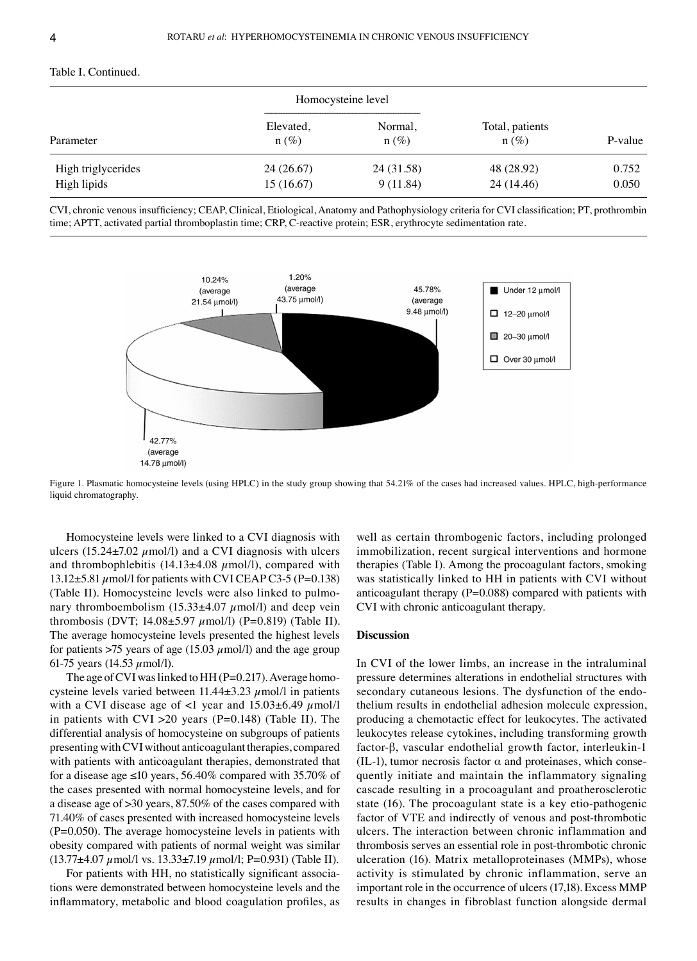# Table I. Continued.

| Parameter                         | Homocysteine level      |                        |                            |                |
|-----------------------------------|-------------------------|------------------------|----------------------------|----------------|
|                                   | Elevated,<br>$n(\%)$    | Normal,<br>$n (\%)$    | Total, patients<br>$n(\%)$ | P-value        |
| High triglycerides<br>High lipids | 24 (26.67)<br>15(16.67) | 24 (31.58)<br>9(11.84) | 48 (28.92)<br>24 (14.46)   | 0.752<br>0.050 |

CVI, chronic venous insufficiency; CEAP, Clinical, Etiological, Anatomy and Pathophysiology criteria for CVI classification; PT, prothrombin time; APTT, activated partial thromboplastin time; CRP, C-reactive protein; ESR, erythrocyte sedimentation rate.



Figure 1. Plasmatic homocysteine levels (using HPLC) in the study group showing that 54.21% of the cases had increased values. HPLC, high-performance liquid chromatography.

Homocysteine levels were linked to a CVI diagnosis with ulcers (15.24 $\pm$ 7.02  $\mu$ mol/l) and a CVI diagnosis with ulcers and thrombophlebitis  $(14.13\pm4.08 \mu \text{mol/l})$ , compared with 13.12 $\pm$ 5.81  $\mu$ mol/l for patients with CVI CEAP C3-5 (P=0.138) (Table II). Homocysteine levels were also linked to pulmonary thromboembolism  $(15.33\pm4.07 \mu mol/l)$  and deep vein thrombosis (DVT;  $14.08 \pm 5.97 \ \mu$ mol/l) (P=0.819) (Table II). The average homocysteine levels presented the highest levels for patients  $>75$  years of age (15.03  $\mu$ mol/l) and the age group 61-75 years (14.53  $\mu$ mol/l).

The age of CVI was linked to HH ( $P=0.217$ ). Average homocysteine levels varied between  $11.44\pm3.23 \mu$  mol/l in patients with a CVI disease age of <1 year and  $15.03\pm6.49 \ \mu$ mol/l in patients with CVI  $>20$  years (P=0.148) (Table II). The differential analysis of homocysteine on subgroups of patients presenting with CVI without anticoagulant therapies, compared with patients with anticoagulant therapies, demonstrated that for a disease age  $\leq 10$  years, 56.40% compared with 35.70% of the cases presented with normal homocysteine levels, and for a disease age of >30 years, 87.50% of the cases compared with 71.40% of cases presented with increased homocysteine levels (P=0.050). The average homocysteine levels in patients with obesity compared with patients of normal weight was similar  $(13.77\pm4.07 \mu$ mol/l vs.  $13.33\pm7.19 \mu$ mol/l; P=0.931) (Table II).

For patients with HH, no statistically significant associations were demonstrated between homocysteine levels and the inflammatory, metabolic and blood coagulation profiles, as

well as certain thrombogenic factors, including prolonged immobilization, recent surgical interventions and hormone therapies (Table I). Among the procoagulant factors, smoking was statistically linked to HH in patients with CVI without anticoagulant therapy  $(P=0.088)$  compared with patients with CVI with chronic anticoagulant therapy.

## **Discussion**

In CVI of the lower limbs, an increase in the intraluminal pressure determines alterations in endothelial structures with secondary cutaneous lesions. The dysfunction of the endothelium results in endothelial adhesion molecule expression, producing a chemotactic effect for leukocytes. The activated leukocytes release cytokines, including transforming growth factor‑β, vascular endothelial growth factor, interleukin‑1 (IL-1), tumor necrosis factor  $\alpha$  and proteinases, which consequently initiate and maintain the inflammatory signaling cascade resulting in a procoagulant and proatherosclerotic state (16). The procoagulant state is a key etio-pathogenic factor of VTE and indirectly of venous and post-thrombotic ulcers. The interaction between chronic inflammation and thrombosis serves an essential role in post‑thrombotic chronic ulceration (16). Matrix metalloproteinases (MMPs), whose activity is stimulated by chronic inflammation, serve an important role in the occurrence of ulcers(17,18). Excess MMP results in changes in fibroblast function alongside dermal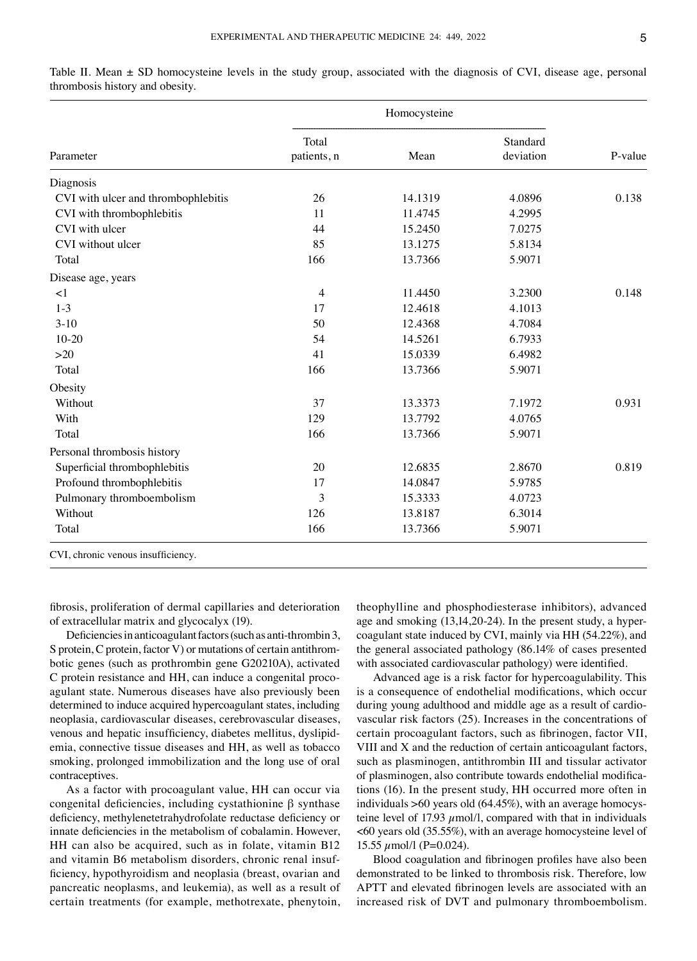| Parameter                           | Homocysteine         |         |                       |         |
|-------------------------------------|----------------------|---------|-----------------------|---------|
|                                     | Total<br>patients, n | Mean    | Standard<br>deviation | P-value |
| Diagnosis                           |                      |         |                       |         |
| CVI with ulcer and thrombophlebitis | 26                   | 14.1319 | 4.0896                | 0.138   |
| CVI with thrombophlebitis           | 11                   | 11.4745 | 4.2995                |         |
| CVI with ulcer                      | 44                   | 15.2450 | 7.0275                |         |
| CVI without ulcer                   | 85                   | 13.1275 | 5.8134                |         |
| Total                               | 166                  | 13.7366 | 5.9071                |         |
| Disease age, years                  |                      |         |                       |         |
| <1                                  | 4                    | 11.4450 | 3.2300                | 0.148   |
| $1 - 3$                             | 17                   | 12.4618 | 4.1013                |         |
| $3-10$                              | 50                   | 12.4368 | 4.7084                |         |
| $10 - 20$                           | 54                   | 14.5261 | 6.7933                |         |
| $>20$                               | 41                   | 15.0339 | 6.4982                |         |
| Total                               | 166                  | 13.7366 | 5.9071                |         |
| Obesity                             |                      |         |                       |         |
| Without                             | 37                   | 13.3373 | 7.1972                | 0.931   |
| With                                | 129                  | 13.7792 | 4.0765                |         |
| Total                               | 166                  | 13.7366 | 5.9071                |         |
| Personal thrombosis history         |                      |         |                       |         |
| Superficial thrombophlebitis        | 20                   | 12.6835 | 2.8670                | 0.819   |
| Profound thrombophlebitis           | 17                   | 14.0847 | 5.9785                |         |
| Pulmonary thromboembolism           | 3                    | 15.3333 | 4.0723                |         |
| Without                             | 126                  | 13.8187 | 6.3014                |         |
| Total                               | 166                  | 13.7366 | 5.9071                |         |
| CVI, chronic venous insufficiency.  |                      |         |                       |         |

Table II. Mean  $\pm$  SD homocysteine levels in the study group, associated with the diagnosis of CVI, disease age, personal thrombosis history and obesity.

fibrosis, proliferation of dermal capillaries and deterioration of extracellular matrix and glycocalyx (19).

Deficiencies in anticoagulant factors (such as anti-thrombin 3, S protein, C protein, factor V) or mutations of certain antithrombotic genes (such as prothrombin gene G20210A), activated C protein resistance and HH, can induce a congenital procoagulant state. Numerous diseases have also previously been determined to induce acquired hypercoagulant states, including neoplasia, cardiovascular diseases, cerebrovascular diseases, venous and hepatic insufficiency, diabetes mellitus, dyslipidemia, connective tissue diseases and HH, as well as tobacco smoking, prolonged immobilization and the long use of oral contraceptives.

As a factor with procoagulant value, HH can occur via congenital deficiencies, including cystathionine β synthase deficiency, methylenetetrahydrofolate reductase deficiency or innate deficiencies in the metabolism of cobalamin. However, HH can also be acquired, such as in folate, vitamin B12 and vitamin B6 metabolism disorders, chronic renal insufficiency, hypothyroidism and neoplasia (breast, ovarian and pancreatic neoplasms, and leukemia), as well as a result of certain treatments (for example, methotrexate, phenytoin,

theophylline and phosphodiesterase inhibitors), advanced age and smoking (13,14,20-24). In the present study, a hypercoagulant state induced by CVI, mainly via HH (54.22%), and the general associated pathology (86.14% of cases presented with associated cardiovascular pathology) were identified.

Advanced age is a risk factor for hypercoagulability. This is a consequence of endothelial modifications, which occur during young adulthood and middle age as a result of cardiovascular risk factors (25). Increases in the concentrations of certain procoagulant factors, such as fibrinogen, factor VII, VIII and X and the reduction of certain anticoagulant factors, such as plasminogen, antithrombin III and tissular activator of plasminogen, also contribute towards endothelial modifications (16). In the present study, HH occurred more often in individuals  $>60$  years old (64.45%), with an average homocysteine level of 17.93  $\mu$ mol/l, compared with that in individuals <60 years old (35.55%), with an average homocysteine level of 15.55  $\mu$ mol/l (P=0.024).

Blood coagulation and fibrinogen profiles have also been demonstrated to be linked to thrombosis risk. Therefore, low APTT and elevated fibrinogen levels are associated with an increased risk of DVT and pulmonary thromboembolism.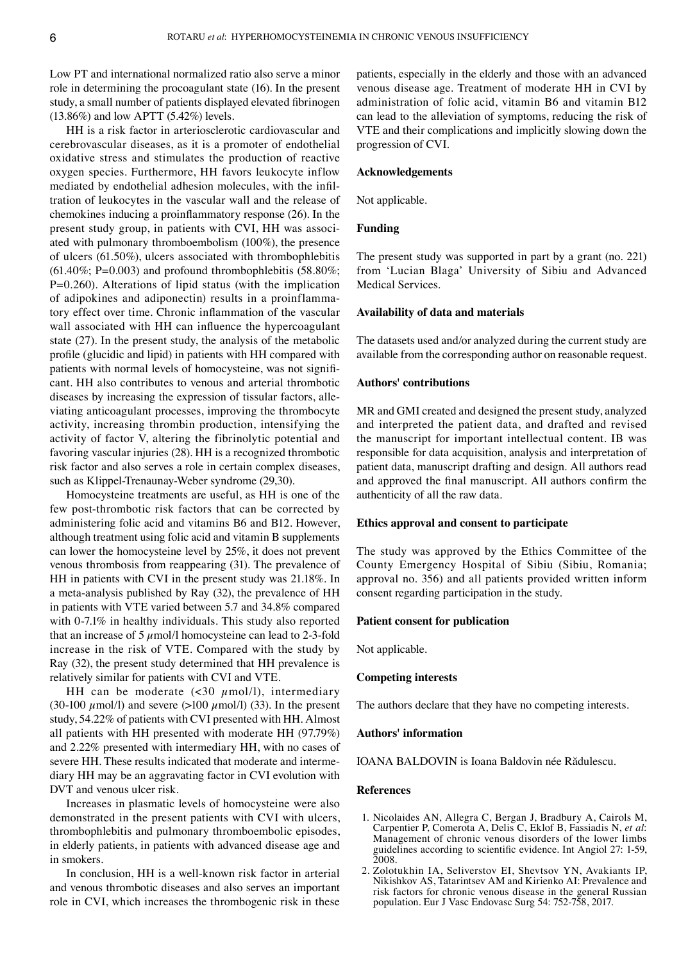Low PT and international normalized ratio also serve a minor role in determining the procoagulant state (16). In the present study, a small number of patients displayed elevated fibrinogen (13.86%) and low APTT (5.42%) levels.

HH is a risk factor in arteriosclerotic cardiovascular and cerebrovascular diseases, as it is a promoter of endothelial oxidative stress and stimulates the production of reactive oxygen species. Furthermore, HH favors leukocyte inflow mediated by endothelial adhesion molecules, with the infiltration of leukocytes in the vascular wall and the release of chemokines inducing a proinflammatory response (26). In the present study group, in patients with CVI, HH was associated with pulmonary thromboembolism (100%), the presence of ulcers (61.50%), ulcers associated with thrombophlebitis  $(61.40\%; P=0.003)$  and profound thrombophlebitis  $(58.80\%; P=0.003)$ P=0.260). Alterations of lipid status (with the implication of adipokines and adiponectin) results in a proinflammatory effect over time. Chronic inflammation of the vascular wall associated with HH can influence the hypercoagulant state (27). In the present study, the analysis of the metabolic profile (glucidic and lipid) in patients with HH compared with patients with normal levels of homocysteine, was not significant. HH also contributes to venous and arterial thrombotic diseases by increasing the expression of tissular factors, alleviating anticoagulant processes, improving the thrombocyte activity, increasing thrombin production, intensifying the activity of factor V, altering the fibrinolytic potential and favoring vascular injuries (28). HH is a recognized thrombotic risk factor and also serves a role in certain complex diseases, such as Klippel-Trenaunay-Weber syndrome (29,30).

Homocysteine treatments are useful, as HH is one of the few post-thrombotic risk factors that can be corrected by administering folic acid and vitamins B6 and B12. However, although treatment using folic acid and vitamin B supplements can lower the homocysteine level by 25%, it does not prevent venous thrombosis from reappearing (31). The prevalence of HH in patients with CVI in the present study was 21.18%. In a meta‑analysis published by Ray (32), the prevalence of HH in patients with VTE varied between 5.7 and 34.8% compared with 0-7.1% in healthy individuals. This study also reported that an increase of 5  $\mu$ mol/l homocysteine can lead to 2-3-fold increase in the risk of VTE. Compared with the study by Ray (32), the present study determined that HH prevalence is relatively similar for patients with CVI and VTE.

HH can be moderate  $(\leq 30 \mu \text{mol/l})$ , intermediary (30-100  $\mu$ mol/l) and severe (>100  $\mu$ mol/l) (33). In the present study, 54.22% of patients with CVI presented with HH. Almost all patients with HH presented with moderate HH (97.79%) and 2.22% presented with intermediary HH, with no cases of severe HH. These results indicated that moderate and intermediary HH may be an aggravating factor in CVI evolution with DVT and venous ulcer risk.

Increases in plasmatic levels of homocysteine were also demonstrated in the present patients with CVI with ulcers, thrombophlebitis and pulmonary thromboembolic episodes, in elderly patients, in patients with advanced disease age and in smokers.

In conclusion, HH is a well-known risk factor in arterial and venous thrombotic diseases and also serves an important role in CVI, which increases the thrombogenic risk in these patients, especially in the elderly and those with an advanced venous disease age. Treatment of moderate HH in CVI by administration of folic acid, vitamin B6 and vitamin B12 can lead to the alleviation of symptoms, reducing the risk of VTE and their complications and implicitly slowing down the progression of CVI.

## **Acknowledgements**

Not applicable.

## **Funding**

The present study was supported in part by a grant (no. 221) from 'Lucian Blaga' University of Sibiu and Advanced Medical Services.

## **Availability of data and materials**

The datasets used and/or analyzed during the current study are available from the corresponding author on reasonable request.

#### **Authors' contributions**

MR and GMI created and designed the present study, analyzed and interpreted the patient data, and drafted and revised the manuscript for important intellectual content. IB was responsible for data acquisition, analysis and interpretation of patient data, manuscript drafting and design. All authors read and approved the final manuscript. All authors confirm the authenticity of all the raw data.

# **Ethics approval and consent to participate**

The study was approved by the Ethics Committee of the County Emergency Hospital of Sibiu (Sibiu, Romania; approval no. 356) and all patients provided written inform consent regarding participation in the study.

#### **Patient consent for publication**

Not applicable.

## **Competing interests**

The authors declare that they have no competing interests.

#### **Authors' information**

IOANA BALDOVIN is Ioana Baldovin née Rădulescu.

#### **References**

- 1. Nicolaides AN, Allegra C, Bergan J, Bradbury A, Cairols M, Carpentier P, Comerota A, Delis C, Eklof B, Fassiadis N, *et al*: Management of chronic venous disorders of the lower limbs guidelines according to scientific evidence. Int Angiol 27: 1‑59, 2008.
- 2. Zolotukhin IA, Seliverstov EI, Shevtsov YN, Avakiants IP, Nikishkov AS, Tatarintsev AM and Kirienko AI: Prevalence and risk factors for chronic venous disease in the general Russian population. Eur J Vasc Endovasc Surg 54: 752‑758, 2017.